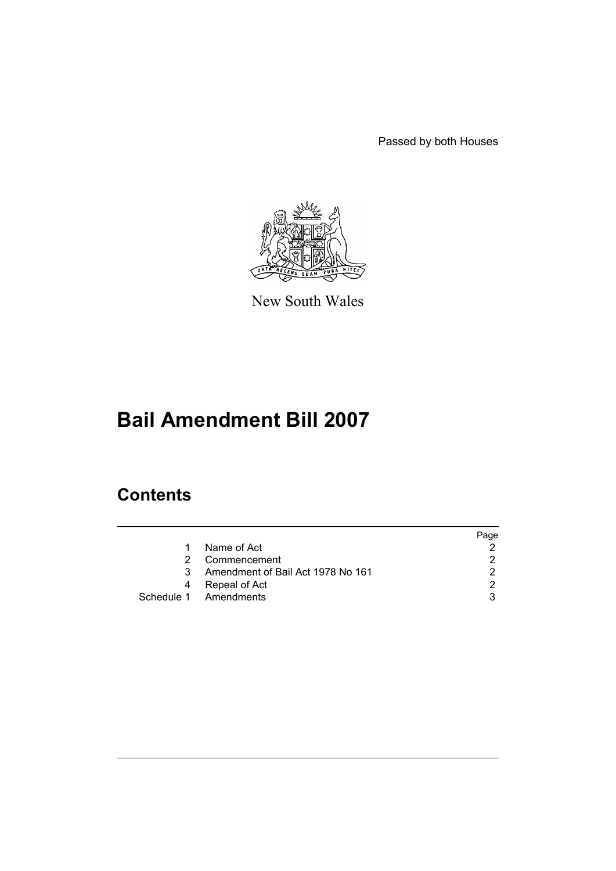Passed by both Houses



New South Wales

# **Bail Amendment Bill 2007**

## **Contents**

|    |                                   | Page |
|----|-----------------------------------|------|
| 1. | Name of Act                       |      |
|    | Commencement                      |      |
| 3  | Amendment of Bail Act 1978 No 161 |      |
| 4  | Repeal of Act                     |      |
|    | Schedule 1 Amendments             |      |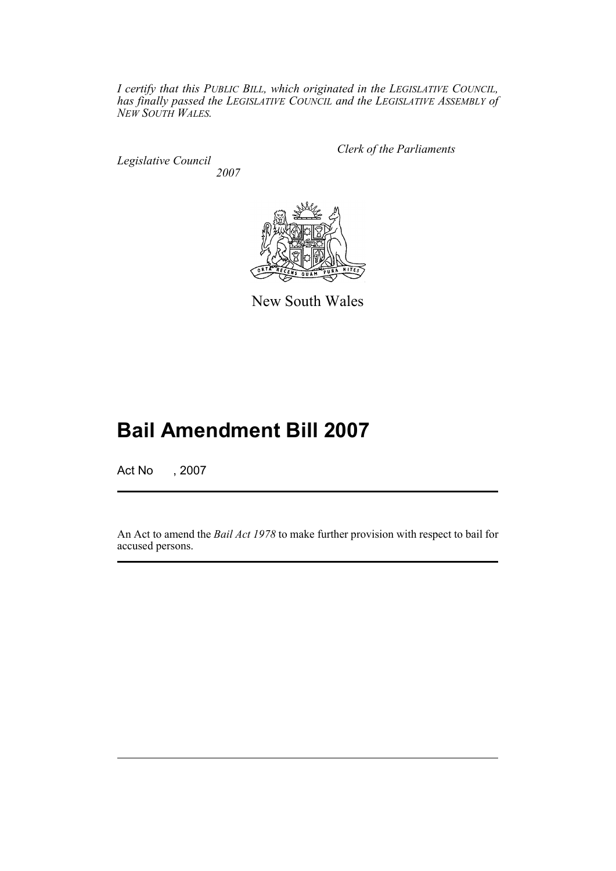*I certify that this PUBLIC BILL, which originated in the LEGISLATIVE COUNCIL, has finally passed the LEGISLATIVE COUNCIL and the LEGISLATIVE ASSEMBLY of NEW SOUTH WALES.*

*Legislative Council 2007* *Clerk of the Parliaments*



New South Wales

## **Bail Amendment Bill 2007**

Act No , 2007

An Act to amend the *Bail Act 1978* to make further provision with respect to bail for accused persons.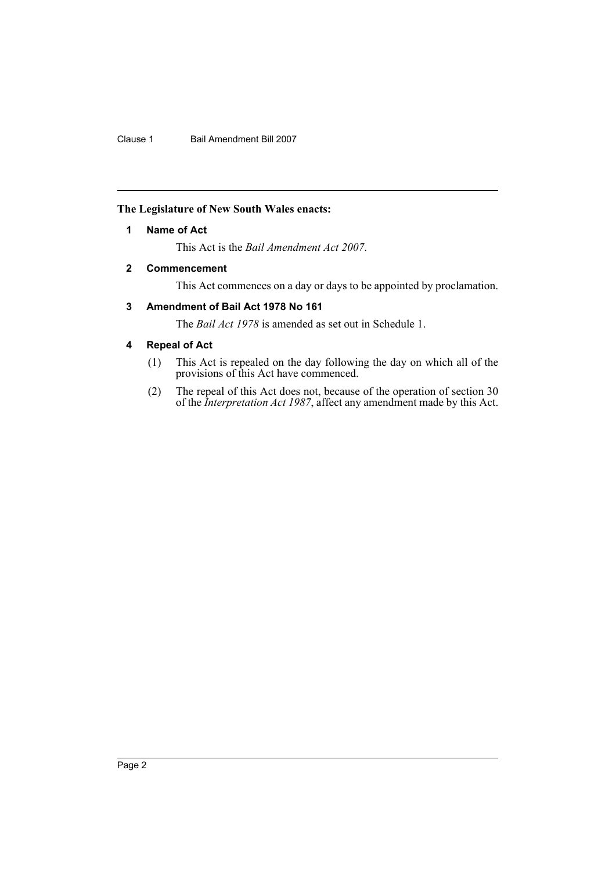#### <span id="page-2-0"></span>**The Legislature of New South Wales enacts:**

#### **1 Name of Act**

This Act is the *Bail Amendment Act 2007*.

#### <span id="page-2-1"></span>**2 Commencement**

This Act commences on a day or days to be appointed by proclamation.

#### <span id="page-2-2"></span>**3 Amendment of Bail Act 1978 No 161**

The *Bail Act 1978* is amended as set out in Schedule 1.

#### <span id="page-2-3"></span>**4 Repeal of Act**

- (1) This Act is repealed on the day following the day on which all of the provisions of this Act have commenced.
- (2) The repeal of this Act does not, because of the operation of section 30 of the *Interpretation Act 1987*, affect any amendment made by this Act.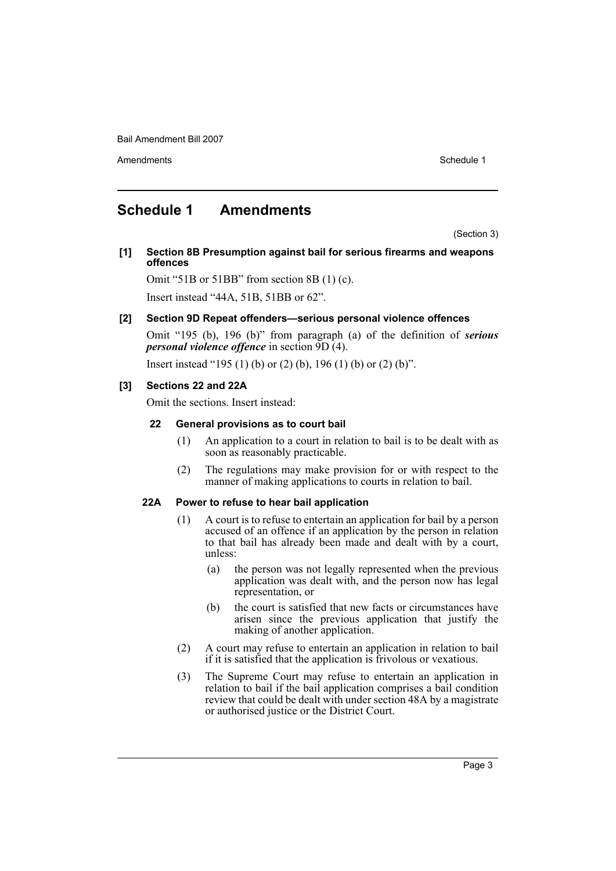Bail Amendment Bill 2007

Amendments **Schedule 1** and the set of the set of the set of the set of the set of the set of the set of the set of the set of the set of the set of the set of the set of the set of the set of the set of the set of the set

### <span id="page-3-0"></span>**Schedule 1 Amendments**

(Section 3)

**[1] Section 8B Presumption against bail for serious firearms and weapons offences**

Omit "51B or 51BB" from section 8B (1) (c).

Insert instead "44A, 51B, 51BB or 62".

#### **[2] Section 9D Repeat offenders—serious personal violence offences**

Omit "195 (b), 196 (b)" from paragraph (a) of the definition of *serious personal violence offence* in section 9D (4).

Insert instead "195 (1) (b) or (2) (b), 196 (1) (b) or (2) (b)".

#### **[3] Sections 22 and 22A**

Omit the sections. Insert instead:

#### **22 General provisions as to court bail**

- (1) An application to a court in relation to bail is to be dealt with as soon as reasonably practicable.
- (2) The regulations may make provision for or with respect to the manner of making applications to courts in relation to bail.

#### **22A Power to refuse to hear bail application**

- (1) A court is to refuse to entertain an application for bail by a person accused of an offence if an application by the person in relation to that bail has already been made and dealt with by a court, unless:
	- (a) the person was not legally represented when the previous application was dealt with, and the person now has legal representation, or
	- (b) the court is satisfied that new facts or circumstances have arisen since the previous application that justify the making of another application.
- (2) A court may refuse to entertain an application in relation to bail if it is satisfied that the application is frivolous or vexatious.
- (3) The Supreme Court may refuse to entertain an application in relation to bail if the bail application comprises a bail condition review that could be dealt with under section 48A by a magistrate or authorised justice or the District Court.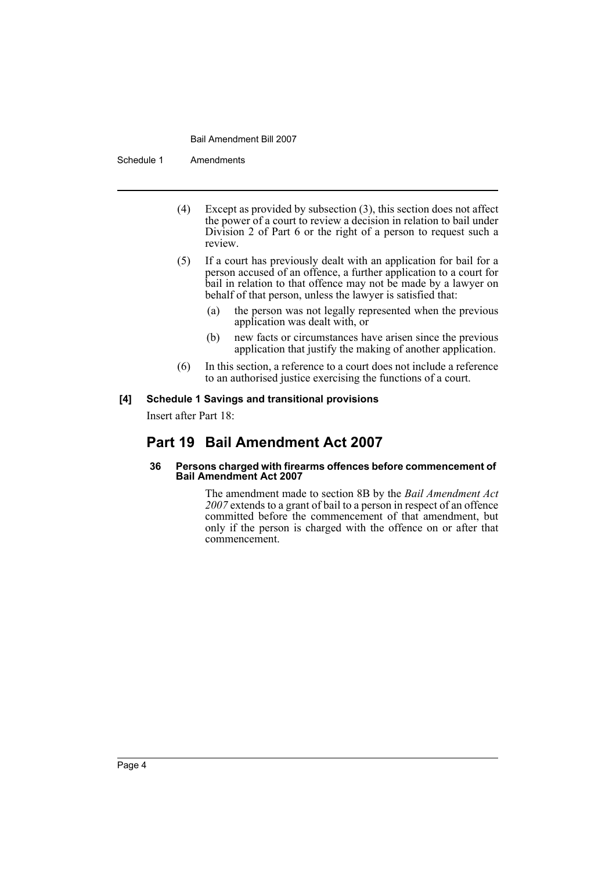#### Bail Amendment Bill 2007

Schedule 1 Amendments

- (4) Except as provided by subsection (3), this section does not affect the power of a court to review a decision in relation to bail under Division 2 of Part 6 or the right of a person to request such a review.
- (5) If a court has previously dealt with an application for bail for a person accused of an offence, a further application to a court for bail in relation to that offence may not be made by a lawyer on behalf of that person, unless the lawyer is satisfied that:
	- (a) the person was not legally represented when the previous application was dealt with, or
	- (b) new facts or circumstances have arisen since the previous application that justify the making of another application.
- (6) In this section, a reference to a court does not include a reference to an authorised justice exercising the functions of a court.

#### **[4] Schedule 1 Savings and transitional provisions**

Insert after Part 18:

### **Part 19 Bail Amendment Act 2007**

#### **36 Persons charged with firearms offences before commencement of Bail Amendment Act 2007**

The amendment made to section 8B by the *Bail Amendment Act 2007* extends to a grant of bail to a person in respect of an offence committed before the commencement of that amendment, but only if the person is charged with the offence on or after that commencement.